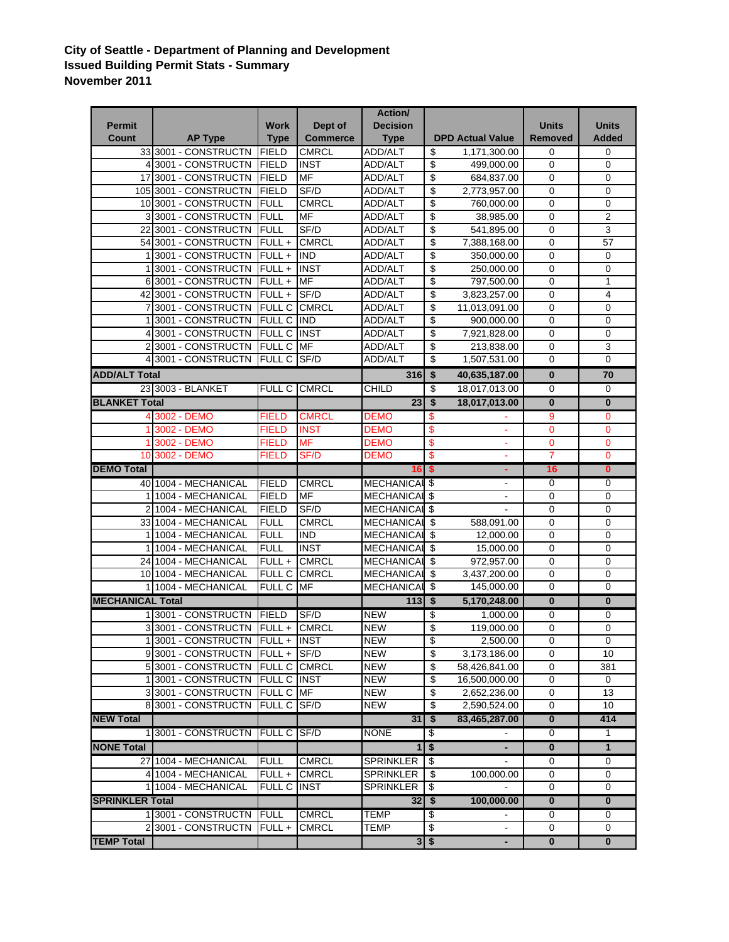## **City of Seattle - Department of Planning and Development Issued Building Permit Stats - Summary November 2011**

|                         |                                 |                     |                 | Action/           |                          |                         |                         |                         |
|-------------------------|---------------------------------|---------------------|-----------------|-------------------|--------------------------|-------------------------|-------------------------|-------------------------|
| <b>Permit</b>           |                                 | <b>Work</b>         | Dept of         | <b>Decision</b>   |                          |                         | <b>Units</b>            | <b>Units</b>            |
| Count                   | <b>AP Type</b>                  | <b>Type</b>         | <b>Commerce</b> | <b>Type</b>       |                          | <b>DPD Actual Value</b> | Removed                 | <b>Added</b>            |
|                         | 33 3001 - CONSTRUCTN            | <b>FIELD</b>        | CMRCL           | <b>ADD/ALT</b>    | \$                       | 1,171,300.00            | 0                       | 0                       |
|                         | 4 3001 - CONSTRUCTN             | <b>FIELD</b>        | <b>INST</b>     | <b>ADD/ALT</b>    | \$                       | 499,000.00              | $\mathbf 0$             | 0                       |
|                         | 17 3001 - CONSTRUCTN            | FIELD               | <b>MF</b>       | ADD/ALT           | \$                       | 684,837.00              | $\mathbf 0$             | 0                       |
|                         | 105 3001 - CONSTRUCTN           | <b>FIELD</b>        | SF/D            | <b>ADD/ALT</b>    | \$                       | 2,773,957.00            | $\mathbf 0$             | $\mathbf 0$             |
|                         | 10 3001 - CONSTRUCTN            | <b>FULL</b>         | <b>CMRCL</b>    | ADD/ALT           | \$                       | 760,000.00              | $\mathbf 0$             | 0                       |
|                         | 3 3001 - CONSTRUCTN             | <b>FULL</b>         | MF              | ADD/ALT           | \$                       | 38,985.00               | 0                       | $\overline{2}$          |
| 22                      | 3001 - CONSTRUCTN               | <b>FULL</b>         | SF/D            | <b>ADD/ALT</b>    | \$                       | 541,895.00              | $\mathbf 0$             | $\mathbf{3}$            |
|                         | 54 3001 - CONSTRUCTN            | FULL +              | <b>CMRCL</b>    | <b>ADD/ALT</b>    | \$                       | 7,388,168.00            | $\mathbf 0$             | 57                      |
|                         | 13001 - CONSTRUCTN              | $FULL +$            | <b>IND</b>      | <b>ADD/ALT</b>    | \$                       | 350,000.00              | $\mathbf 0$             | 0                       |
|                         | 3001 - CONSTRUCTN               | $FULL +$            | <b>INST</b>     | ADD/ALT           | \$                       | 250,000.00              | $\mathbf 0$             | 0                       |
|                         | 6 3001 - CONSTRUCTN             | FULL+               | <b>MF</b>       | ADD/ALT           | \$                       | 797,500.00              | $\mathbf 0$             | 1                       |
|                         | 42 3001 - CONSTRUCTN            | FULL +              | SF/D            | <b>ADD/ALT</b>    | \$                       | 3,823,257.00            | 0                       | 4                       |
|                         | 3001 - CONSTRUCTN               | <b>FULL C</b>       | <b>CMRCL</b>    | ADD/ALT           | \$                       | 11,013,091.00           | $\mathbf 0$             | 0                       |
|                         | 13001 - CONSTRUCTN              | <b>FULL C</b>       | <b>IIND</b>     | ADD/ALT           | \$                       | 900,000.00              | $\mathbf 0$             | 0                       |
|                         | 4 3001 - CONSTRUCTN             | FULL C              | <b>INST</b>     | <b>ADD/ALT</b>    | \$                       | 7,921,828.00            | $\mathbf 0$             | 0                       |
|                         | 23001 - CONSTRUCTN              | <b>FULL C</b>       | MF              | ADD/ALT           | \$                       | 213,838.00              | $\mathbf 0$             | 3                       |
|                         | 4 3001 - CONSTRUCTN             | FULL C SF/D         |                 | ADD/ALT           | \$                       | 1,507,531.00            | $\mathbf 0$             | $\mathbf 0$             |
| <b>ADD/ALT Total</b>    |                                 |                     |                 | 316               | \$                       | 40,635,187.00           | $\bf{0}$                | 70                      |
|                         | 23 3003 - BLANKET               | FULL C CMRCL        |                 | <b>CHILD</b>      | $\overline{\mathcal{G}}$ | 18,017,013.00           | $\mathbf 0$             | 0                       |
| <b>BLANKET Total</b>    |                                 |                     |                 | 23                | \$                       | 18,017,013.00           | $\bf{0}$                | $\overline{\mathbf{0}}$ |
|                         | 4 3002 - DEMO                   | FIELD               | <b>CMRCL</b>    | <b>DEMO</b>       | \$                       |                         | 9                       | $\mathbf 0$             |
|                         | 3002 - DEMO                     | <b>FIELD</b>        | <b>INST</b>     | DEMO              | \$                       | $\blacksquare$          | $\mathbf 0$             | $\mathbf 0$             |
|                         | 3002 - DEMO                     | <b>FIELD</b>        | <b>MF</b>       | <b>DEMO</b>       | \$                       |                         | $\mathbf 0$             | 0                       |
|                         | 10 3002 - DEMO                  | <b>FIELD</b>        | SF/D            | DEMO              | \$                       |                         | $\overline{7}$          | $\overline{0}$          |
| <b>DEMO Total</b>       |                                 |                     |                 | 16S               |                          |                         | 16                      | $\overline{\mathbf{0}}$ |
|                         | 40 1004 - MECHANICAL            | <b>FIELD</b>        | <b>CMRCL</b>    | <b>MECHANICAL</b> | \$                       | ۰                       | $\mathbf 0$             | 0                       |
| 1                       | 1004 - MECHANICAL               | <b>FIELD</b>        | MF              | <b>MECHANICAL</b> | \$                       | $\blacksquare$          | $\mathbf 0$             | 0                       |
|                         | 2 1004 - MECHANICAL             | <b>FIELD</b>        | SF/D            | <b>MECHANICAL</b> | \$                       |                         | 0                       | $\mathbf 0$             |
|                         | 33 1004 - MECHANICAL            | <b>FULL</b>         | <b>CMRCL</b>    | <b>MECHANICAL</b> | \$                       | 588,091.00              | $\mathbf 0$             | $\mathbf 0$             |
|                         | 1 1004 - MECHANICAL             | <b>FULL</b>         | <b>IND</b>      | <b>MECHANICAL</b> | \$                       | 12,000.00               | $\mathbf 0$             | 0                       |
|                         | 11004 - MECHANICAL              | <b>FULL</b>         | <b>INST</b>     | MECHANICAL        | \$                       | 15,000.00               | $\mathbf 0$             | 0                       |
|                         | 24 1004 - MECHANICAL            | $FULL +$            | <b>CMRCL</b>    | <b>MECHANICAL</b> | \$                       | 972,957.00              | $\mathbf 0$             | 0                       |
|                         | 10 1004 - MECHANICAL            | <b>FULL C</b>       | <b>CMRCL</b>    | <b>MECHANICAL</b> | \$                       | 3,437,200.00            | $\mathbf 0$             | 0                       |
|                         | 1 1004 - MECHANICAL             | FULL C              | <b>MF</b>       | <b>MECHANICAL</b> | \$                       | 145,000.00              | 0                       | $\mathbf 0$             |
| <b>MECHANICAL Total</b> |                                 |                     |                 | $113$             | s,                       | 5,170,248.00            | $\overline{\mathbf{0}}$ | $\overline{\mathbf{0}}$ |
|                         | 1 3001 - CONSTRUCTN             | <b>IFIELD</b>       | SF/D            | <b>NEW</b>        | \$                       | 1,000.00                | $\overline{0}$          | 0                       |
|                         | 33001 - CONSTRUCTN              | $FULL +$            | <b>CMRCL</b>    | <b>NEW</b>        | \$                       | 119,000.00              | 0                       | 0                       |
|                         | 1 3001 - CONSTRUCTN FULL + INST |                     |                 | <b>NEW</b>        | \$                       | 2,500.00                | $\mathbf 0$             | 0                       |
|                         | 93001 - CONSTRUCTN FULL + SF/D  |                     |                 | <b>NEW</b>        | \$                       | 3,173,186.00            | 0                       | 10                      |
|                         | 5 3001 - CONSTRUCTN             | <b>FULL C CMRCL</b> |                 | <b>NEW</b>        | \$                       | 58,426,841.00           | 0                       | 381                     |
|                         | 13001 - CONSTRUCTN FULL C INST  |                     |                 | <b>NEW</b>        | \$                       | 16,500,000.00           | 0                       | 0                       |
|                         | 33001 - CONSTRUCTN              | <b>FULL C</b>       | <b>MF</b>       | <b>NEW</b>        | \$                       | 2,652,236.00            | 0                       | 13                      |
|                         | 8 3001 - CONSTRUCTN             | <b>FULL C</b>       | SF/D            | NEW               | \$                       | 2,590,524.00            | 0                       | 10                      |
| <b>NEW Total</b>        |                                 |                     |                 | 31                | $\overline{\bullet}$     | 83,465,287.00           | $\overline{\mathbf{0}}$ | 414                     |
|                         | 13001 - CONSTRUCTN FULL C SF/D  |                     |                 | <b>NONE</b>       | S,                       |                         | 0                       | $\overline{1}$          |
| <b>NONE Total</b>       |                                 |                     |                 |                   | $1$ \$                   | ä,                      | $\bf{0}$                | $\mathbf{1}$            |
|                         | 27 1004 - MECHANICAL            | <b>FULL</b>         | <b>CMRCL</b>    | <b>SPRINKLER</b>  | \$                       | $\sim$                  | 0                       | 0                       |
|                         | 4 1004 - MECHANICAL             | FULL +              | <b>CMRCL</b>    | <b>SPRINKLER</b>  | \$                       | 100,000.00              | 0                       | 0                       |
|                         | 1 1004 - MECHANICAL             | <b>FULL C</b>       | <b>INST</b>     | SPRINKLER         | \$                       |                         | 0                       | 0                       |
| <b>SPRINKLER Total</b>  |                                 |                     |                 | $32 \mid $$       |                          | 100,000.00              | $\overline{\mathbf{0}}$ | $\bf{0}$                |
|                         | 13001 - CONSTRUCTN FULL         |                     | <b>CMRCL</b>    | <b>TEMP</b>       | \$                       |                         | 0                       | 0                       |
|                         | 2 3001 - CONSTRUCTN             | $FULL +$            | <b>CMRCL</b>    | TEMP              | \$                       |                         | $\mathbf 0$             | $\Omega$                |
|                         |                                 |                     |                 |                   |                          |                         |                         |                         |
| <b>TEMP Total</b>       |                                 |                     |                 |                   | $3$ \$                   |                         | $\bf{0}$                | $\mathbf{0}$            |